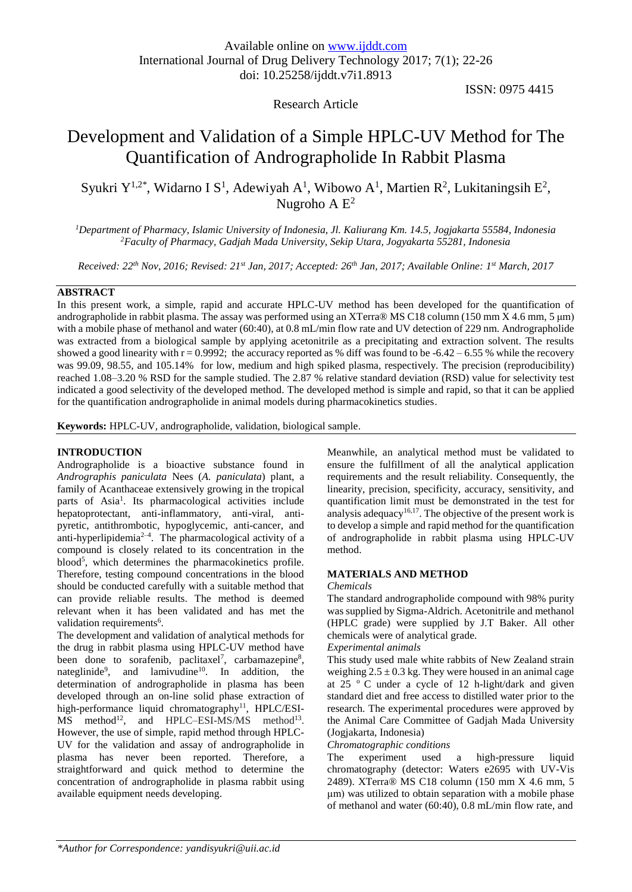# Research Article

ISSN: 0975 4415

# Development and Validation of a Simple HPLC-UV Method for The Quantification of Andrographolide In Rabbit Plasma

Syukri Y<sup>1,2\*</sup>, Widarno I S<sup>1</sup>, Adewiyah A<sup>1</sup>, Wibowo A<sup>1</sup>, Martien R<sup>2</sup>, Lukitaningsih E<sup>2</sup>, Nugroho A  $E^2$ 

*<sup>1</sup>Department of Pharmacy, Islamic University of Indonesia, Jl. Kaliurang Km. 14.5, Jogjakarta 55584, Indonesia <sup>2</sup>Faculty of Pharmacy, Gadjah Mada University, Sekip Utara, Jogyakarta 55281, Indonesia*

*Received: 22th Nov, 2016; Revised: 21st Jan, 2017; Accepted: 26th Jan, 2017; Available Online: 1 st March, 2017*

## **ABSTRACT**

In this present work, a simple, rapid and accurate HPLC-UV method has been developed for the quantification of andrographolide in rabbit plasma. The assay was performed using an XTerra® MS C18 column (150 mm X 4.6 mm, 5  $\mu$ m) with a mobile phase of methanol and water (60:40), at 0.8 mL/min flow rate and UV detection of 229 nm. Andrographolide was extracted from a biological sample by applying acetonitrile as a precipitating and extraction solvent. The results showed a good linearity with  $r = 0.9992$ ; the accuracy reported as % diff was found to be  $-6.42 - 6.55$  % while the recovery was 99.09, 98.55, and 105.14% for low, medium and high spiked plasma, respectively. The precision (reproducibility) reached 1.08–3.20 % RSD for the sample studied. The 2.87 % relative standard deviation (RSD) value for selectivity test indicated a good selectivity of the developed method. The developed method is simple and rapid, so that it can be applied for the quantification andrographolide in animal models during pharmacokinetics studies.

**Keywords:** HPLC-UV, andrographolide, validation, biological sample.

## **INTRODUCTION**

Andrographolide is a bioactive substance found in *Andrographis paniculata* Nees (*A. paniculata*) plant, a family of Acanthaceae extensively growing in the tropical parts of Asia<sup>1</sup>. Its pharmacological activities include hepatoprotectant, anti-inflammatory, anti-viral, antipyretic, antithrombotic, hypoglycemic, anti-cancer, and anti-hyperlipidemia<sup>2-4</sup>. The pharmacological activity of a compound is closely related to its concentration in the blood 5 , which determines the pharmacokinetics profile. Therefore, testing compound concentrations in the blood should be conducted carefully with a suitable method that can provide reliable results. The method is deemed relevant when it has been validated and has met the validation requirements<sup>6</sup>.

The development and validation of analytical methods for the drug in rabbit plasma using HPLC-UV method have been done to sorafenib, paclitaxel<sup>7</sup>, carbamazepine<sup>8</sup>, nateglinide<sup>9</sup>, and lamivudine<sup>10</sup>. In addition, the determination of andrographolide in plasma has been developed through an on-line solid phase extraction of high-performance liquid chromatography<sup>11</sup>, HPLC/ESI- $MS$  method<sup>12</sup>, and HPLC–ESI-MS/MS method<sup>13</sup>. However, the use of simple, rapid method through HPLC-UV for the validation and assay of andrographolide in plasma has never been reported. Therefore, a straightforward and quick method to determine the concentration of andrographolide in plasma rabbit using available equipment needs developing.

Meanwhile, an analytical method must be validated to ensure the fulfillment of all the analytical application requirements and the result reliability. Consequently, the linearity, precision, specificity, accuracy, sensitivity, and quantification limit must be demonstrated in the test for analysis adequacy<sup>16,17</sup>. The objective of the present work is to develop a simple and rapid method for the quantification of andrographolide in rabbit plasma using HPLC-UV method.

## **MATERIALS AND METHOD**

#### *Chemicals*

The standard andrographolide compound with 98% purity was supplied by Sigma-Aldrich. Acetonitrile and methanol (HPLC grade) were supplied by J.T Baker. All other chemicals were of analytical grade.

#### *Experimental animals*

This study used male white rabbits of New Zealand strain weighing  $2.5 \pm 0.3$  kg. They were housed in an animal cage at  $25$   $\degree$  C under a cycle of 12 h-light/dark and given standard diet and free access to distilled water prior to the research. The experimental procedures were approved by the Animal Care Committee of Gadjah Mada University (Jogjakarta, Indonesia)

## *Chromatographic conditions*

The experiment used a high-pressure liquid chromatography (detector: Waters e2695 with UV-Vis 2489). XTerra® MS C18 column (150 mm X 4.6 mm, 5 μm) was utilized to obtain separation with a mobile phase of methanol and water (60:40), 0.8 mL/min flow rate, and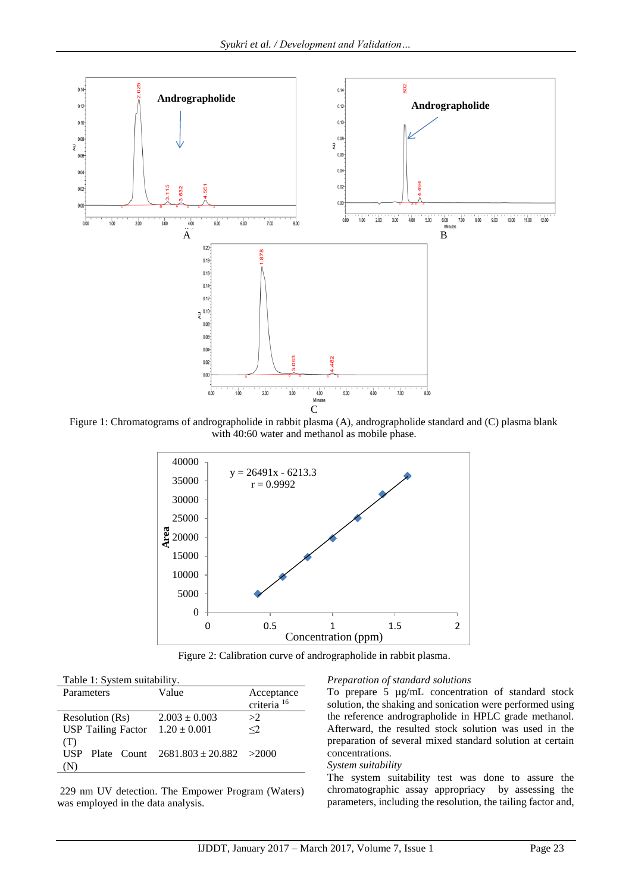

Figure 1: Chromatograms of andrographolide in rabbit plasma (A), andrographolide standard and (C) plasma blank with 40:60 water and methanol as mobile phase.



Figure 2: Calibration curve of andrographolide in rabbit plasma.

| Table 1: System suitability.        |                                         |                        |  |  |  |
|-------------------------------------|-----------------------------------------|------------------------|--|--|--|
| Parameters                          | Value                                   | Acceptance             |  |  |  |
|                                     |                                         | criteria <sup>16</sup> |  |  |  |
| Resolution (Rs)                     | $2.003 \pm 0.003$                       | >2                     |  |  |  |
| USP Tailing Factor $1.20 \pm 0.001$ |                                         | $<$ 2                  |  |  |  |
| (T)                                 |                                         |                        |  |  |  |
| USP.                                | Plate Count $2681.803 \pm 20.882$ >2000 |                        |  |  |  |
|                                     |                                         |                        |  |  |  |

229 nm UV detection. The Empower Program (Waters) was employed in the data analysis.

#### *Preparation of standard solutions*

To prepare 5 µg/mL concentration of standard stock solution, the shaking and sonication were performed using the reference andrographolide in HPLC grade methanol. Afterward, the resulted stock solution was used in the preparation of several mixed standard solution at certain concentrations.

#### *System suitability*

The system suitability test was done to assure the chromatographic assay appropriacy by assessing the parameters, including the resolution, the tailing factor and,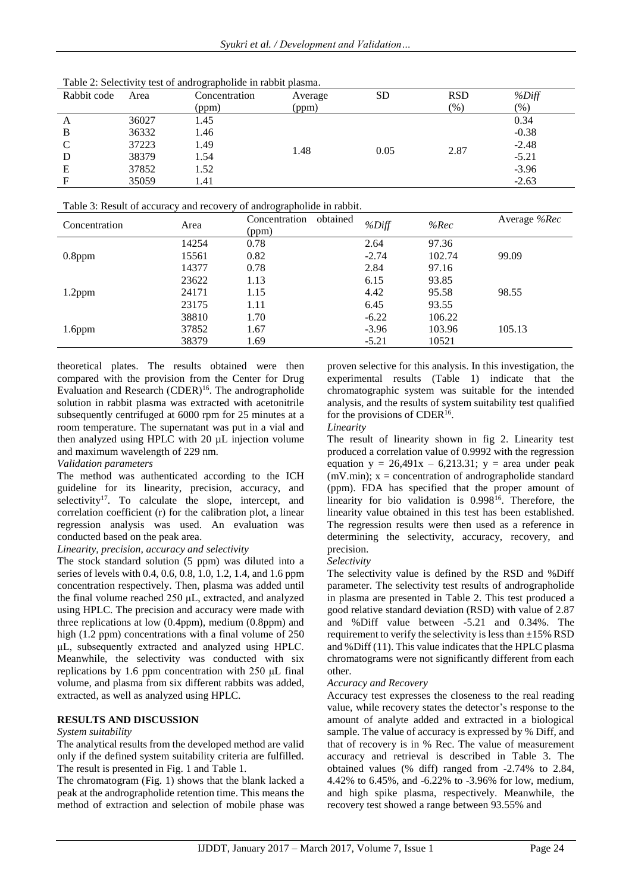| Table 2: Selectivity test of andrographolide in rabbit plasma. |
|----------------------------------------------------------------|
|----------------------------------------------------------------|

| Rabbit code | Area  | Concentration | Average | <b>SD</b> | <b>RSD</b> | %Diff   |
|-------------|-------|---------------|---------|-----------|------------|---------|
|             |       | (ppm)         | (ppm)   |           | $(\%)$     | (% )    |
| A           | 36027 | 1.45          | 1.48    |           |            | 0.34    |
| B           | 36332 | 1.46          |         |           |            | $-0.38$ |
| C           | 37223 | 1.49          |         |           |            | $-2.48$ |
| D           | 38379 | 1.54          |         | 0.05      | 2.87       | $-5.21$ |
| Ε           | 37852 | 1.52          |         |           |            | $-3.96$ |
| F           | 35059 | 1.41          |         |           |            | $-2.63$ |

Table 3: Result of accuracy and recovery of andrographolide in rabbit.

| Concentration | Area  | obtained<br>Concentration<br>(ppm) | %Diff   | %Rec   | Average %Rec |
|---------------|-------|------------------------------------|---------|--------|--------------|
|               | 14254 | 0.78                               | 2.64    | 97.36  |              |
| $0.8$ ppm     | 15561 | 0.82                               | $-2.74$ | 102.74 | 99.09        |
|               | 14377 | 0.78                               | 2.84    | 97.16  |              |
|               | 23622 | 1.13                               | 6.15    | 93.85  |              |
| $1.2$ ppm     | 24171 | 1.15                               | 4.42    | 95.58  | 98.55        |
|               | 23175 | 1.11                               | 6.45    | 93.55  |              |
|               | 38810 | 1.70                               | $-6.22$ | 106.22 |              |
| $1.6$ ppm     | 37852 | 1.67                               | $-3.96$ | 103.96 | 105.13       |
|               | 38379 | 1.69                               | $-5.21$ | 10521  |              |

theoretical plates. The results obtained were then compared with the provision from the Center for Drug Evaluation and Research (CDER)<sup>16</sup>. The andrographolide solution in rabbit plasma was extracted with acetonitrile subsequently centrifuged at 6000 rpm for 25 minutes at a room temperature. The supernatant was put in a vial and then analyzed using HPLC with 20 µL injection volume and maximum wavelength of 229 nm.

## *Validation parameters*

The method was authenticated according to the ICH guideline for its linearity, precision, accuracy, and selectivity<sup>17</sup>. To calculate the slope, intercept, and correlation coefficient (r) for the calibration plot, a linear regression analysis was used. An evaluation was conducted based on the peak area.

## *Linearity, precision, accuracy and selectivity*

The stock standard solution (5 ppm) was diluted into a series of levels with 0.4, 0.6, 0.8, 1.0, 1.2, 1.4, and 1.6 ppm concentration respectively. Then, plasma was added until the final volume reached 250 μL, extracted, and analyzed using HPLC. The precision and accuracy were made with three replications at low (0.4ppm), medium (0.8ppm) and high (1.2 ppm) concentrations with a final volume of 250 μL, subsequently extracted and analyzed using HPLC. Meanwhile, the selectivity was conducted with six replications by 1.6 ppm concentration with 250 μL final volume, and plasma from six different rabbits was added, extracted, as well as analyzed using HPLC.

## **RESULTS AND DISCUSSION**

## *System suitability*

The analytical results from the developed method are valid only if the defined system suitability criteria are fulfilled. The result is presented in Fig. 1 and Table 1.

The chromatogram (Fig. 1) shows that the blank lacked a peak at the andrographolide retention time. This means the method of extraction and selection of mobile phase was proven selective for this analysis. In this investigation, the experimental results (Table 1) indicate that the chromatographic system was suitable for the intended analysis, and the results of system suitability test qualified for the provisions of CDER<sup>16</sup>.

*Linearity*

The result of linearity shown in fig 2. Linearity test produced a correlation value of 0.9992 with the regression equation  $y = 26,491x - 6,213.31$ ;  $y = \text{area under peak}$  $(mV.min); x = concentration of andrographolide standard$ (ppm). FDA has specified that the proper amount of linearity for bio validation is 0.998<sup>16</sup>. Therefore, the linearity value obtained in this test has been established. The regression results were then used as a reference in determining the selectivity, accuracy, recovery, and precision.

## *Selectivity*

The selectivity value is defined by the RSD and %Diff parameter. The selectivity test results of andrographolide in plasma are presented in Table 2. This test produced a good relative standard deviation (RSD) with value of 2.87 and %Diff value between -5.21 and 0.34%. The requirement to verify the selectivity is less than  $\pm 15\%$  RSD and %Diff (11). This value indicates that the HPLC plasma chromatograms were not significantly different from each other.

## *Accuracy and Recovery*

Accuracy test expresses the closeness to the real reading value, while recovery states the detector's response to the amount of analyte added and extracted in a biological sample. The value of accuracy is expressed by % Diff, and that of recovery is in % Rec. The value of measurement accuracy and retrieval is described in Table 3. The obtained values (% diff) ranged from -2.74% to 2.84, 4.42% to 6.45%, and -6.22% to -3.96% for low, medium, and high spike plasma, respectively. Meanwhile, the recovery test showed a range between 93.55% and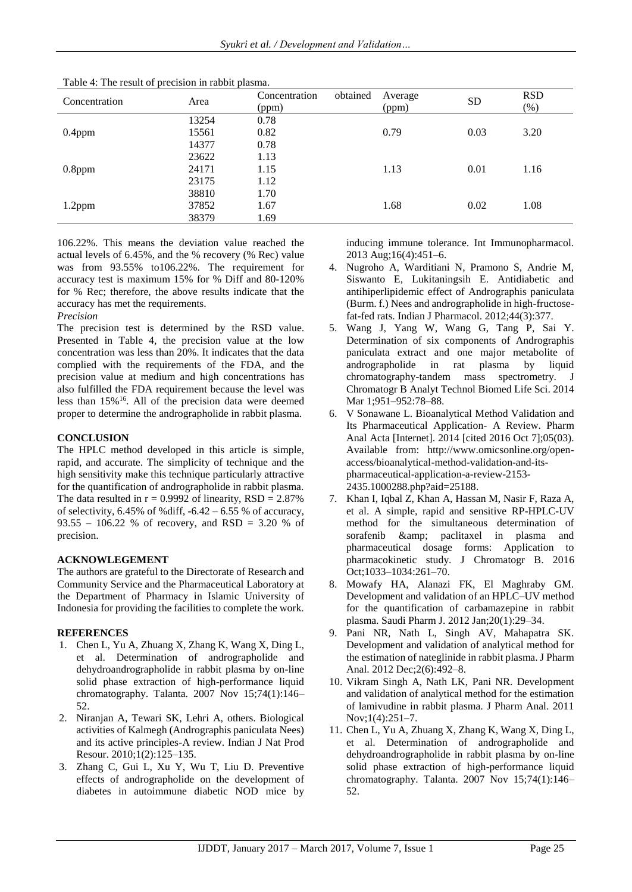| Concentration | Area  | Concentration<br>(ppm) | obtained | Average<br>(ppm) | <b>SD</b> | <b>RSD</b><br>$(\%)$ |
|---------------|-------|------------------------|----------|------------------|-----------|----------------------|
|               | 13254 | 0.78                   |          |                  |           |                      |
| $0.4$ ppm     | 15561 | 0.82                   | 0.79     |                  | 0.03      | 3.20                 |
|               | 14377 | 0.78                   |          |                  |           |                      |
|               | 23622 | 1.13                   |          |                  |           |                      |
| $0.8$ ppm     | 24171 | 1.15                   | 1.13     | 0.01             | 1.16      |                      |
|               | 23175 | 1.12                   |          |                  |           |                      |
| $1.2$ ppm     | 38810 | 1.70                   | 1.68     | 0.02             | 1.08      |                      |
|               | 37852 | 1.67                   |          |                  |           |                      |
|               | 38379 | 1.69                   |          |                  |           |                      |
|               |       |                        |          |                  |           |                      |

Table 4: The result of precision in rabbit plasma.

106.22%. This means the deviation value reached the actual levels of 6.45%, and the % recovery (% Rec) value was from 93.55% to106.22%. The requirement for accuracy test is maximum 15% for % Diff and 80-120% for % Rec; therefore, the above results indicate that the accuracy has met the requirements.

*Precision*

The precision test is determined by the RSD value. Presented in Table 4, the precision value at the low concentration was less than 20%. It indicates that the data complied with the requirements of the FDA, and the precision value at medium and high concentrations has also fulfilled the FDA requirement because the level was less than  $15\%$ <sup>16</sup>. All of the precision data were deemed proper to determine the andrographolide in rabbit plasma.

# **CONCLUSION**

The HPLC method developed in this article is simple, rapid, and accurate. The simplicity of technique and the high sensitivity make this technique particularly attractive for the quantification of andrographolide in rabbit plasma. The data resulted in  $r = 0.9992$  of linearity,  $RSD = 2.87\%$ of selectivity,  $6.45\%$  of %diff,  $-6.42 - 6.55\%$  of accuracy, 93.55 – 106.22 % of recovery, and RSD = 3.20 % of precision.

## **ACKNOWLEGEMENT**

The authors are grateful to the Directorate of Research and Community Service and the Pharmaceutical Laboratory at the Department of Pharmacy in Islamic University of Indonesia for providing the facilities to complete the work.

# **REFERENCES**

- 1. Chen L, Yu A, Zhuang X, Zhang K, Wang X, Ding L, et al. Determination of andrographolide and dehydroandrographolide in rabbit plasma by on-line solid phase extraction of high-performance liquid chromatography. Talanta. 2007 Nov 15;74(1):146– 52.
- 2. Niranjan A, Tewari SK, Lehri A, others. Biological activities of Kalmegh (Andrographis paniculata Nees) and its active principles-A review. Indian J Nat Prod Resour. 2010;1(2):125–135.
- 3. Zhang C, Gui L, Xu Y, Wu T, Liu D. Preventive effects of andrographolide on the development of diabetes in autoimmune diabetic NOD mice by

inducing immune tolerance. Int Immunopharmacol. 2013 Aug;16(4):451–6.

- 4. Nugroho A, Warditiani N, Pramono S, Andrie M, Siswanto E, Lukitaningsih E. Antidiabetic and antihiperlipidemic effect of Andrographis paniculata (Burm. f.) Nees and andrographolide in high-fructosefat-fed rats. Indian J Pharmacol. 2012;44(3):377.
- 5. Wang J, Yang W, Wang G, Tang P, Sai Y. Determination of six components of Andrographis paniculata extract and one major metabolite of andrographolide in rat plasma by liquid chromatography-tandem mass spectrometry. J Chromatogr B Analyt Technol Biomed Life Sci. 2014 Mar 1;951–952:78–88.
- 6. V Sonawane L. Bioanalytical Method Validation and Its Pharmaceutical Application- A Review. Pharm Anal Acta [Internet]. 2014 [cited 2016 Oct 7];05(03). Available from: http://www.omicsonline.org/openaccess/bioanalytical-method-validation-and-itspharmaceutical-application-a-review-2153- 2435.1000288.php?aid=25188.
- 7. Khan I, Iqbal Z, Khan A, Hassan M, Nasir F, Raza A, et al. A simple, rapid and sensitive RP-HPLC-UV method for the simultaneous determination of sorafenib & amp; paclitaxel in plasma and pharmaceutical dosage forms: Application to pharmacokinetic study. J Chromatogr B. 2016 Oct;1033–1034:261–70.
- 8. Mowafy HA, Alanazi FK, El Maghraby GM. Development and validation of an HPLC–UV method for the quantification of carbamazepine in rabbit plasma. Saudi Pharm J. 2012 Jan;20(1):29–34.
- 9. Pani NR, Nath L, Singh AV, Mahapatra SK. Development and validation of analytical method for the estimation of nateglinide in rabbit plasma. J Pharm Anal. 2012 Dec;2(6):492–8.
- 10. Vikram Singh A, Nath LK, Pani NR. Development and validation of analytical method for the estimation of lamivudine in rabbit plasma. J Pharm Anal. 2011 Nov;1(4):251–7.
- 11. Chen L, Yu A, Zhuang X, Zhang K, Wang X, Ding L, et al. Determination of andrographolide and dehydroandrographolide in rabbit plasma by on-line solid phase extraction of high-performance liquid chromatography. Talanta. 2007 Nov 15;74(1):146– 52.